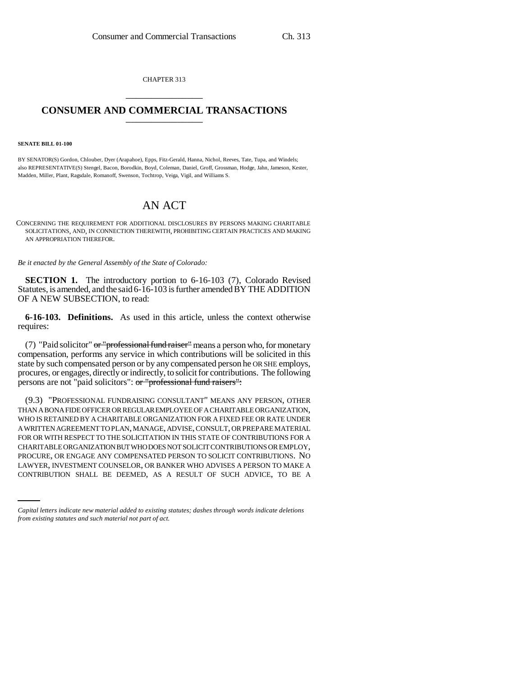CHAPTER 313 \_\_\_\_\_\_\_\_\_\_\_\_\_\_\_

## **CONSUMER AND COMMERCIAL TRANSACTIONS** \_\_\_\_\_\_\_\_\_\_\_\_\_\_\_

## **SENATE BILL 01-100**

BY SENATOR(S) Gordon, Chlouber, Dyer (Arapahoe), Epps, Fitz-Gerald, Hanna, Nichol, Reeves, Tate, Tupa, and Windels; also REPRESENTATIVE(S) Stengel, Bacon, Borodkin, Boyd, Coleman, Daniel, Groff, Grossman, Hodge, Jahn, Jameson, Kester, Madden, Miller, Plant, Ragsdale, Romanoff, Swenson, Tochtrop, Veiga, Vigil, and Williams S.

## AN ACT

CONCERNING THE REQUIREMENT FOR ADDITIONAL DISCLOSURES BY PERSONS MAKING CHARITABLE SOLICITATIONS, AND, IN CONNECTION THEREWITH, PROHIBITING CERTAIN PRACTICES AND MAKING AN APPROPRIATION THEREFOR.

*Be it enacted by the General Assembly of the State of Colorado:*

**SECTION 1.** The introductory portion to 6-16-103 (7), Colorado Revised Statutes, is amended, and the said 6-16-103 is further amended BY THE ADDITION OF A NEW SUBSECTION, to read:

**6-16-103. Definitions.** As used in this article, unless the context otherwise requires:

(7) "Paid solicitor" or "professional fund raiser" means a person who, for monetary compensation, performs any service in which contributions will be solicited in this state by such compensated person or by any compensated person he OR SHE employs, procures, or engages, directly or indirectly, to solicit for contributions. The following persons are not "paid solicitors": or "professional fund raisers":

PROCURE, OR ENGAGE ANY COMPENSATED PERSON TO SOLICIT CONTRIBUTIONS. NO (9.3) "PROFESSIONAL FUNDRAISING CONSULTANT" MEANS ANY PERSON, OTHER THAN A BONA FIDE OFFICER OR REGULAR EMPLOYEE OF A CHARITABLE ORGANIZATION, WHO IS RETAINED BY A CHARITABLE ORGANIZATION FOR A FIXED FEE OR RATE UNDER A WRITTEN AGREEMENT TO PLAN, MANAGE, ADVISE, CONSULT, OR PREPARE MATERIAL FOR OR WITH RESPECT TO THE SOLICITATION IN THIS STATE OF CONTRIBUTIONS FOR A CHARITABLE ORGANIZATION BUT WHO DOES NOT SOLICIT CONTRIBUTIONS OR EMPLOY, LAWYER, INVESTMENT COUNSELOR, OR BANKER WHO ADVISES A PERSON TO MAKE A CONTRIBUTION SHALL BE DEEMED, AS A RESULT OF SUCH ADVICE, TO BE A

*Capital letters indicate new material added to existing statutes; dashes through words indicate deletions from existing statutes and such material not part of act.*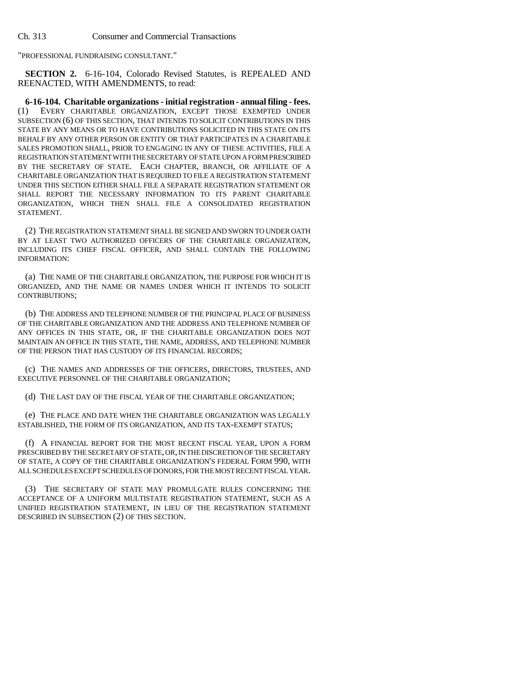"PROFESSIONAL FUNDRAISING CONSULTANT."

**SECTION 2.** 6-16-104, Colorado Revised Statutes, is REPEALED AND REENACTED, WITH AMENDMENTS, to read:

**6-16-104. Charitable organizations - initial registration - annual filing - fees.** (1) EVERY CHARITABLE ORGANIZATION, EXCEPT THOSE EXEMPTED UNDER SUBSECTION (6) OF THIS SECTION, THAT INTENDS TO SOLICIT CONTRIBUTIONS IN THIS STATE BY ANY MEANS OR TO HAVE CONTRIBUTIONS SOLICITED IN THIS STATE ON ITS BEHALF BY ANY OTHER PERSON OR ENTITY OR THAT PARTICIPATES IN A CHARITABLE SALES PROMOTION SHALL, PRIOR TO ENGAGING IN ANY OF THESE ACTIVITIES, FILE A REGISTRATION STATEMENT WITH THE SECRETARY OF STATE UPON A FORM PRESCRIBED BY THE SECRETARY OF STATE. EACH CHAPTER, BRANCH, OR AFFILIATE OF A CHARITABLE ORGANIZATION THAT IS REQUIRED TO FILE A REGISTRATION STATEMENT UNDER THIS SECTION EITHER SHALL FILE A SEPARATE REGISTRATION STATEMENT OR SHALL REPORT THE NECESSARY INFORMATION TO ITS PARENT CHARITABLE ORGANIZATION, WHICH THEN SHALL FILE A CONSOLIDATED REGISTRATION STATEMENT.

(2) THE REGISTRATION STATEMENT SHALL BE SIGNED AND SWORN TO UNDER OATH BY AT LEAST TWO AUTHORIZED OFFICERS OF THE CHARITABLE ORGANIZATION, INCLUDING ITS CHIEF FISCAL OFFICER, AND SHALL CONTAIN THE FOLLOWING INFORMATION:

(a) THE NAME OF THE CHARITABLE ORGANIZATION, THE PURPOSE FOR WHICH IT IS ORGANIZED, AND THE NAME OR NAMES UNDER WHICH IT INTENDS TO SOLICIT CONTRIBUTIONS;

(b) THE ADDRESS AND TELEPHONE NUMBER OF THE PRINCIPAL PLACE OF BUSINESS OF THE CHARITABLE ORGANIZATION AND THE ADDRESS AND TELEPHONE NUMBER OF ANY OFFICES IN THIS STATE, OR, IF THE CHARITABLE ORGANIZATION DOES NOT MAINTAIN AN OFFICE IN THIS STATE, THE NAME, ADDRESS, AND TELEPHONE NUMBER OF THE PERSON THAT HAS CUSTODY OF ITS FINANCIAL RECORDS;

(c) THE NAMES AND ADDRESSES OF THE OFFICERS, DIRECTORS, TRUSTEES, AND EXECUTIVE PERSONNEL OF THE CHARITABLE ORGANIZATION;

(d) THE LAST DAY OF THE FISCAL YEAR OF THE CHARITABLE ORGANIZATION;

(e) THE PLACE AND DATE WHEN THE CHARITABLE ORGANIZATION WAS LEGALLY ESTABLISHED, THE FORM OF ITS ORGANIZATION, AND ITS TAX-EXEMPT STATUS;

(f) A FINANCIAL REPORT FOR THE MOST RECENT FISCAL YEAR, UPON A FORM PRESCRIBED BY THE SECRETARY OF STATE, OR, IN THE DISCRETION OF THE SECRETARY OF STATE, A COPY OF THE CHARITABLE ORGANIZATION'S FEDERAL FORM 990, WITH ALL SCHEDULES EXCEPT SCHEDULES OF DONORS, FOR THE MOST RECENT FISCAL YEAR.

(3) THE SECRETARY OF STATE MAY PROMULGATE RULES CONCERNING THE ACCEPTANCE OF A UNIFORM MULTISTATE REGISTRATION STATEMENT, SUCH AS A UNIFIED REGISTRATION STATEMENT, IN LIEU OF THE REGISTRATION STATEMENT DESCRIBED IN SUBSECTION (2) OF THIS SECTION.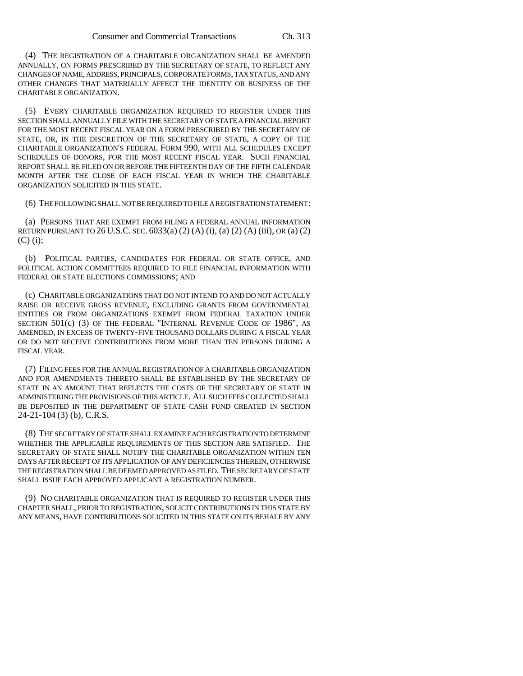(4) THE REGISTRATION OF A CHARITABLE ORGANIZATION SHALL BE AMENDED ANNUALLY, ON FORMS PRESCRIBED BY THE SECRETARY OF STATE, TO REFLECT ANY CHANGES OF NAME, ADDRESS, PRINCIPALS, CORPORATE FORMS, TAX STATUS, AND ANY OTHER CHANGES THAT MATERIALLY AFFECT THE IDENTITY OR BUSINESS OF THE CHARITABLE ORGANIZATION.

(5) EVERY CHARITABLE ORGANIZATION REQUIRED TO REGISTER UNDER THIS SECTION SHALL ANNUALLY FILE WITH THE SECRETARY OF STATE A FINANCIAL REPORT FOR THE MOST RECENT FISCAL YEAR ON A FORM PRESCRIBED BY THE SECRETARY OF STATE, OR, IN THE DISCRETION OF THE SECRETARY OF STATE, A COPY OF THE CHARITABLE ORGANIZATION'S FEDERAL FORM 990, WITH ALL SCHEDULES EXCEPT SCHEDULES OF DONORS, FOR THE MOST RECENT FISCAL YEAR. SUCH FINANCIAL REPORT SHALL BE FILED ON OR BEFORE THE FIFTEENTH DAY OF THE FIFTH CALENDAR MONTH AFTER THE CLOSE OF EACH FISCAL YEAR IN WHICH THE CHARITABLE ORGANIZATION SOLICITED IN THIS STATE.

(6) THE FOLLOWING SHALL NOT BE REQUIRED TO FILE A REGISTRATION STATEMENT:

(a) PERSONS THAT ARE EXEMPT FROM FILING A FEDERAL ANNUAL INFORMATION RETURN PURSUANT TO 26 U.S.C. SEC.  $6033(a) (2) (A) (i)$ ,  $(a) (2) (A) (iii)$ , OR  $(a) (2)$ (C) (i);

(b) POLITICAL PARTIES, CANDIDATES FOR FEDERAL OR STATE OFFICE, AND POLITICAL ACTION COMMITTEES REQUIRED TO FILE FINANCIAL INFORMATION WITH FEDERAL OR STATE ELECTIONS COMMISSIONS; AND

(c) CHARITABLE ORGANIZATIONS THAT DO NOT INTEND TO AND DO NOT ACTUALLY RAISE OR RECEIVE GROSS REVENUE, EXCLUDING GRANTS FROM GOVERNMENTAL ENTITIES OR FROM ORGANIZATIONS EXEMPT FROM FEDERAL TAXATION UNDER SECTION 501(c) (3) OF THE FEDERAL "INTERNAL REVENUE CODE OF 1986", AS AMENDED, IN EXCESS OF TWENTY-FIVE THOUSAND DOLLARS DURING A FISCAL YEAR OR DO NOT RECEIVE CONTRIBUTIONS FROM MORE THAN TEN PERSONS DURING A FISCAL YEAR.

(7) FILING FEES FOR THE ANNUAL REGISTRATION OF A CHARITABLE ORGANIZATION AND FOR AMENDMENTS THERETO SHALL BE ESTABLISHED BY THE SECRETARY OF STATE IN AN AMOUNT THAT REFLECTS THE COSTS OF THE SECRETARY OF STATE IN ADMINISTERING THE PROVISIONS OF THIS ARTICLE. ALL SUCH FEES COLLECTED SHALL BE DEPOSITED IN THE DEPARTMENT OF STATE CASH FUND CREATED IN SECTION 24-21-104 (3) (b), C.R.S.

(8) THE SECRETARY OF STATE SHALL EXAMINE EACH REGISTRATION TO DETERMINE WHETHER THE APPLICABLE REQUIREMENTS OF THIS SECTION ARE SATISFIED. THE SECRETARY OF STATE SHALL NOTIFY THE CHARITABLE ORGANIZATION WITHIN TEN DAYS AFTER RECEIPT OF ITS APPLICATION OF ANY DEFICIENCIES THEREIN, OTHERWISE THE REGISTRATION SHALL BE DEEMED APPROVED AS FILED. THE SECRETARY OF STATE SHALL ISSUE EACH APPROVED APPLICANT A REGISTRATION NUMBER.

(9) NO CHARITABLE ORGANIZATION THAT IS REQUIRED TO REGISTER UNDER THIS CHAPTER SHALL, PRIOR TO REGISTRATION, SOLICIT CONTRIBUTIONS IN THIS STATE BY ANY MEANS, HAVE CONTRIBUTIONS SOLICITED IN THIS STATE ON ITS BEHALF BY ANY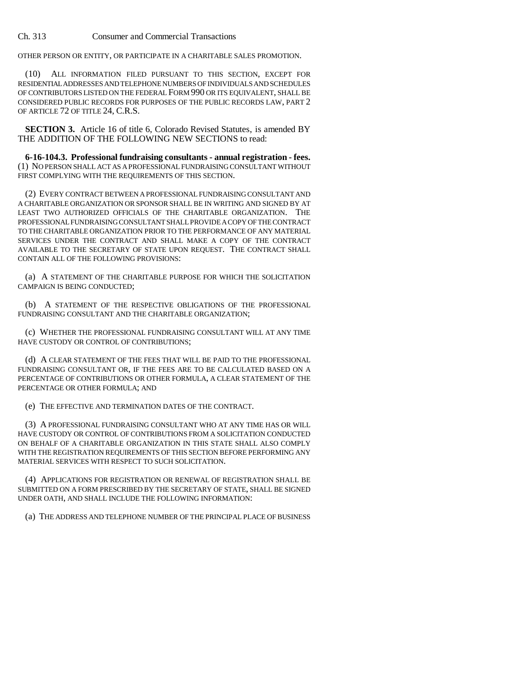OTHER PERSON OR ENTITY, OR PARTICIPATE IN A CHARITABLE SALES PROMOTION.

(10) ALL INFORMATION FILED PURSUANT TO THIS SECTION, EXCEPT FOR RESIDENTIAL ADDRESSES AND TELEPHONE NUMBERS OF INDIVIDUALS AND SCHEDULES OF CONTRIBUTORS LISTED ON THE FEDERAL FORM 990 OR ITS EQUIVALENT, SHALL BE CONSIDERED PUBLIC RECORDS FOR PURPOSES OF THE PUBLIC RECORDS LAW, PART 2 OF ARTICLE 72 OF TITLE 24, C.R.S.

**SECTION 3.** Article 16 of title 6, Colorado Revised Statutes, is amended BY THE ADDITION OF THE FOLLOWING NEW SECTIONS to read:

**6-16-104.3. Professional fundraising consultants - annual registration - fees.** (1) NO PERSON SHALL ACT AS A PROFESSIONAL FUNDRAISING CONSULTANT WITHOUT FIRST COMPLYING WITH THE REQUIREMENTS OF THIS SECTION.

(2) EVERY CONTRACT BETWEEN A PROFESSIONAL FUNDRAISING CONSULTANT AND A CHARITABLE ORGANIZATION OR SPONSOR SHALL BE IN WRITING AND SIGNED BY AT LEAST TWO AUTHORIZED OFFICIALS OF THE CHARITABLE ORGANIZATION. THE PROFESSIONAL FUNDRAISING CONSULTANT SHALL PROVIDE A COPY OF THE CONTRACT TO THE CHARITABLE ORGANIZATION PRIOR TO THE PERFORMANCE OF ANY MATERIAL SERVICES UNDER THE CONTRACT AND SHALL MAKE A COPY OF THE CONTRACT AVAILABLE TO THE SECRETARY OF STATE UPON REQUEST. THE CONTRACT SHALL CONTAIN ALL OF THE FOLLOWING PROVISIONS:

(a) A STATEMENT OF THE CHARITABLE PURPOSE FOR WHICH THE SOLICITATION CAMPAIGN IS BEING CONDUCTED;

(b) A STATEMENT OF THE RESPECTIVE OBLIGATIONS OF THE PROFESSIONAL FUNDRAISING CONSULTANT AND THE CHARITABLE ORGANIZATION;

(c) WHETHER THE PROFESSIONAL FUNDRAISING CONSULTANT WILL AT ANY TIME HAVE CUSTODY OR CONTROL OF CONTRIBUTIONS;

(d) A CLEAR STATEMENT OF THE FEES THAT WILL BE PAID TO THE PROFESSIONAL FUNDRAISING CONSULTANT OR, IF THE FEES ARE TO BE CALCULATED BASED ON A PERCENTAGE OF CONTRIBUTIONS OR OTHER FORMULA, A CLEAR STATEMENT OF THE PERCENTAGE OR OTHER FORMULA; AND

(e) THE EFFECTIVE AND TERMINATION DATES OF THE CONTRACT.

(3) A PROFESSIONAL FUNDRAISING CONSULTANT WHO AT ANY TIME HAS OR WILL HAVE CUSTODY OR CONTROL OF CONTRIBUTIONS FROM A SOLICITATION CONDUCTED ON BEHALF OF A CHARITABLE ORGANIZATION IN THIS STATE SHALL ALSO COMPLY WITH THE REGISTRATION REQUIREMENTS OF THIS SECTION BEFORE PERFORMING ANY MATERIAL SERVICES WITH RESPECT TO SUCH SOLICITATION.

(4) APPLICATIONS FOR REGISTRATION OR RENEWAL OF REGISTRATION SHALL BE SUBMITTED ON A FORM PRESCRIBED BY THE SECRETARY OF STATE, SHALL BE SIGNED UNDER OATH, AND SHALL INCLUDE THE FOLLOWING INFORMATION:

(a) THE ADDRESS AND TELEPHONE NUMBER OF THE PRINCIPAL PLACE OF BUSINESS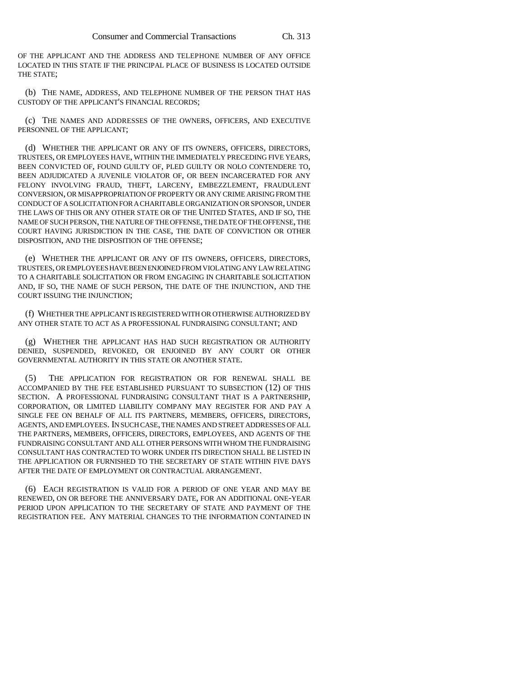OF THE APPLICANT AND THE ADDRESS AND TELEPHONE NUMBER OF ANY OFFICE LOCATED IN THIS STATE IF THE PRINCIPAL PLACE OF BUSINESS IS LOCATED OUTSIDE THE STATE;

(b) THE NAME, ADDRESS, AND TELEPHONE NUMBER OF THE PERSON THAT HAS CUSTODY OF THE APPLICANT'S FINANCIAL RECORDS;

(c) THE NAMES AND ADDRESSES OF THE OWNERS, OFFICERS, AND EXECUTIVE PERSONNEL OF THE APPLICANT;

(d) WHETHER THE APPLICANT OR ANY OF ITS OWNERS, OFFICERS, DIRECTORS, TRUSTEES, OR EMPLOYEES HAVE, WITHIN THE IMMEDIATELY PRECEDING FIVE YEARS, BEEN CONVICTED OF, FOUND GUILTY OF, PLED GUILTY OR NOLO CONTENDERE TO, BEEN ADJUDICATED A JUVENILE VIOLATOR OF, OR BEEN INCARCERATED FOR ANY FELONY INVOLVING FRAUD, THEFT, LARCENY, EMBEZZLEMENT, FRAUDULENT CONVERSION, OR MISAPPROPRIATION OF PROPERTY OR ANY CRIME ARISING FROM THE CONDUCT OF A SOLICITATION FOR A CHARITABLE ORGANIZATION OR SPONSOR, UNDER THE LAWS OF THIS OR ANY OTHER STATE OR OF THE UNITED STATES, AND IF SO, THE NAME OF SUCH PERSON, THE NATURE OF THE OFFENSE, THE DATE OF THE OFFENSE, THE COURT HAVING JURISDICTION IN THE CASE, THE DATE OF CONVICTION OR OTHER DISPOSITION, AND THE DISPOSITION OF THE OFFENSE;

(e) WHETHER THE APPLICANT OR ANY OF ITS OWNERS, OFFICERS, DIRECTORS, TRUSTEES, OR EMPLOYEES HAVE BEEN ENJOINED FROM VIOLATING ANY LAW RELATING TO A CHARITABLE SOLICITATION OR FROM ENGAGING IN CHARITABLE SOLICITATION AND, IF SO, THE NAME OF SUCH PERSON, THE DATE OF THE INJUNCTION, AND THE COURT ISSUING THE INJUNCTION;

(f) WHETHER THE APPLICANT IS REGISTERED WITH OR OTHERWISE AUTHORIZED BY ANY OTHER STATE TO ACT AS A PROFESSIONAL FUNDRAISING CONSULTANT; AND

(g) WHETHER THE APPLICANT HAS HAD SUCH REGISTRATION OR AUTHORITY DENIED, SUSPENDED, REVOKED, OR ENJOINED BY ANY COURT OR OTHER GOVERNMENTAL AUTHORITY IN THIS STATE OR ANOTHER STATE.

(5) THE APPLICATION FOR REGISTRATION OR FOR RENEWAL SHALL BE ACCOMPANIED BY THE FEE ESTABLISHED PURSUANT TO SUBSECTION (12) OF THIS SECTION. A PROFESSIONAL FUNDRAISING CONSULTANT THAT IS A PARTNERSHIP, CORPORATION, OR LIMITED LIABILITY COMPANY MAY REGISTER FOR AND PAY A SINGLE FEE ON BEHALF OF ALL ITS PARTNERS, MEMBERS, OFFICERS, DIRECTORS, AGENTS, AND EMPLOYEES. IN SUCH CASE, THE NAMES AND STREET ADDRESSES OF ALL THE PARTNERS, MEMBERS, OFFICERS, DIRECTORS, EMPLOYEES, AND AGENTS OF THE FUNDRAISING CONSULTANT AND ALL OTHER PERSONS WITH WHOM THE FUNDRAISING CONSULTANT HAS CONTRACTED TO WORK UNDER ITS DIRECTION SHALL BE LISTED IN THE APPLICATION OR FURNISHED TO THE SECRETARY OF STATE WITHIN FIVE DAYS AFTER THE DATE OF EMPLOYMENT OR CONTRACTUAL ARRANGEMENT.

(6) EACH REGISTRATION IS VALID FOR A PERIOD OF ONE YEAR AND MAY BE RENEWED, ON OR BEFORE THE ANNIVERSARY DATE, FOR AN ADDITIONAL ONE-YEAR PERIOD UPON APPLICATION TO THE SECRETARY OF STATE AND PAYMENT OF THE REGISTRATION FEE. ANY MATERIAL CHANGES TO THE INFORMATION CONTAINED IN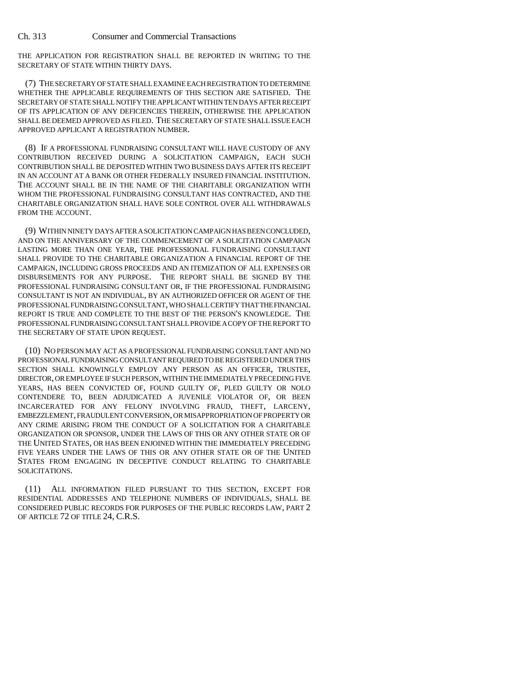THE APPLICATION FOR REGISTRATION SHALL BE REPORTED IN WRITING TO THE SECRETARY OF STATE WITHIN THIRTY DAYS.

(7) THE SECRETARY OF STATE SHALL EXAMINE EACH REGISTRATION TO DETERMINE WHETHER THE APPLICABLE REQUIREMENTS OF THIS SECTION ARE SATISFIED. THE SECRETARY OF STATE SHALL NOTIFY THE APPLICANT WITHIN TEN DAYS AFTER RECEIPT OF ITS APPLICATION OF ANY DEFICIENCIES THEREIN, OTHERWISE THE APPLICATION SHALL BE DEEMED APPROVED AS FILED. THE SECRETARY OF STATE SHALL ISSUE EACH APPROVED APPLICANT A REGISTRATION NUMBER.

(8) IF A PROFESSIONAL FUNDRAISING CONSULTANT WILL HAVE CUSTODY OF ANY CONTRIBUTION RECEIVED DURING A SOLICITATION CAMPAIGN, EACH SUCH CONTRIBUTION SHALL BE DEPOSITED WITHIN TWO BUSINESS DAYS AFTER ITS RECEIPT IN AN ACCOUNT AT A BANK OR OTHER FEDERALLY INSURED FINANCIAL INSTITUTION. THE ACCOUNT SHALL BE IN THE NAME OF THE CHARITABLE ORGANIZATION WITH WHOM THE PROFESSIONAL FUNDRAISING CONSULTANT HAS CONTRACTED, AND THE CHARITABLE ORGANIZATION SHALL HAVE SOLE CONTROL OVER ALL WITHDRAWALS FROM THE ACCOUNT.

(9) WITHIN NINETY DAYS AFTER A SOLICITATION CAMPAIGN HAS BEEN CONCLUDED, AND ON THE ANNIVERSARY OF THE COMMENCEMENT OF A SOLICITATION CAMPAIGN LASTING MORE THAN ONE YEAR, THE PROFESSIONAL FUNDRAISING CONSULTANT SHALL PROVIDE TO THE CHARITABLE ORGANIZATION A FINANCIAL REPORT OF THE CAMPAIGN, INCLUDING GROSS PROCEEDS AND AN ITEMIZATION OF ALL EXPENSES OR DISBURSEMENTS FOR ANY PURPOSE. THE REPORT SHALL BE SIGNED BY THE PROFESSIONAL FUNDRAISING CONSULTANT OR, IF THE PROFESSIONAL FUNDRAISING CONSULTANT IS NOT AN INDIVIDUAL, BY AN AUTHORIZED OFFICER OR AGENT OF THE PROFESSIONAL FUNDRAISING CONSULTANT, WHO SHALL CERTIFY THAT THE FINANCIAL REPORT IS TRUE AND COMPLETE TO THE BEST OF THE PERSON'S KNOWLEDGE. THE PROFESSIONAL FUNDRAISING CONSULTANT SHALL PROVIDE A COPY OF THE REPORT TO THE SECRETARY OF STATE UPON REQUEST.

(10) NO PERSON MAY ACT AS A PROFESSIONAL FUNDRAISING CONSULTANT AND NO PROFESSIONAL FUNDRAISING CONSULTANT REQUIRED TO BE REGISTERED UNDER THIS SECTION SHALL KNOWINGLY EMPLOY ANY PERSON AS AN OFFICER, TRUSTEE, DIRECTOR, OR EMPLOYEE IF SUCH PERSON, WITHIN THE IMMEDIATELY PRECEDING FIVE YEARS, HAS BEEN CONVICTED OF, FOUND GUILTY OF, PLED GUILTY OR NOLO CONTENDERE TO, BEEN ADJUDICATED A JUVENILE VIOLATOR OF, OR BEEN INCARCERATED FOR ANY FELONY INVOLVING FRAUD, THEFT, LARCENY, EMBEZZLEMENT, FRAUDULENT CONVERSION, OR MISAPPROPRIATION OF PROPERTY OR ANY CRIME ARISING FROM THE CONDUCT OF A SOLICITATION FOR A CHARITABLE ORGANIZATION OR SPONSOR, UNDER THE LAWS OF THIS OR ANY OTHER STATE OR OF THE UNITED STATES, OR HAS BEEN ENJOINED WITHIN THE IMMEDIATELY PRECEDING FIVE YEARS UNDER THE LAWS OF THIS OR ANY OTHER STATE OR OF THE UNITED STATES FROM ENGAGING IN DECEPTIVE CONDUCT RELATING TO CHARITABLE SOLICITATIONS.

(11) ALL INFORMATION FILED PURSUANT TO THIS SECTION, EXCEPT FOR RESIDENTIAL ADDRESSES AND TELEPHONE NUMBERS OF INDIVIDUALS, SHALL BE CONSIDERED PUBLIC RECORDS FOR PURPOSES OF THE PUBLIC RECORDS LAW, PART 2 OF ARTICLE 72 OF TITLE 24, C.R.S.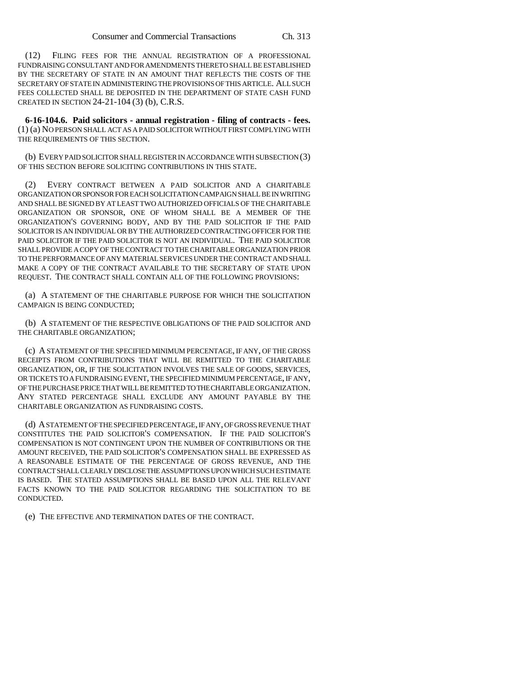(12) FILING FEES FOR THE ANNUAL REGISTRATION OF A PROFESSIONAL FUNDRAISING CONSULTANT AND FOR AMENDMENTS THERETO SHALL BE ESTABLISHED BY THE SECRETARY OF STATE IN AN AMOUNT THAT REFLECTS THE COSTS OF THE SECRETARY OF STATE IN ADMINISTERING THE PROVISIONS OF THIS ARTICLE. ALL SUCH FEES COLLECTED SHALL BE DEPOSITED IN THE DEPARTMENT OF STATE CASH FUND CREATED IN SECTION 24-21-104 (3) (b), C.R.S.

**6-16-104.6. Paid solicitors - annual registration - filing of contracts - fees.** (1) (a) NO PERSON SHALL ACT AS A PAID SOLICITOR WITHOUT FIRST COMPLYING WITH THE REQUIREMENTS OF THIS SECTION.

(b) EVERY PAID SOLICITOR SHALL REGISTER IN ACCORDANCE WITH SUBSECTION (3) OF THIS SECTION BEFORE SOLICITING CONTRIBUTIONS IN THIS STATE.

(2) EVERY CONTRACT BETWEEN A PAID SOLICITOR AND A CHARITABLE ORGANIZATION OR SPONSOR FOR EACH SOLICITATION CAMPAIGN SHALL BE IN WRITING AND SHALL BE SIGNED BY AT LEAST TWO AUTHORIZED OFFICIALS OF THE CHARITABLE ORGANIZATION OR SPONSOR, ONE OF WHOM SHALL BE A MEMBER OF THE ORGANIZATION'S GOVERNING BODY, AND BY THE PAID SOLICITOR IF THE PAID SOLICITOR IS AN INDIVIDUAL OR BY THE AUTHORIZED CONTRACTING OFFICER FOR THE PAID SOLICITOR IF THE PAID SOLICITOR IS NOT AN INDIVIDUAL. THE PAID SOLICITOR SHALL PROVIDE A COPY OF THE CONTRACT TO THE CHARITABLE ORGANIZATION PRIOR TO THE PERFORMANCE OF ANY MATERIAL SERVICES UNDER THE CONTRACT AND SHALL MAKE A COPY OF THE CONTRACT AVAILABLE TO THE SECRETARY OF STATE UPON REQUEST. THE CONTRACT SHALL CONTAIN ALL OF THE FOLLOWING PROVISIONS:

(a) A STATEMENT OF THE CHARITABLE PURPOSE FOR WHICH THE SOLICITATION CAMPAIGN IS BEING CONDUCTED;

(b) A STATEMENT OF THE RESPECTIVE OBLIGATIONS OF THE PAID SOLICITOR AND THE CHARITABLE ORGANIZATION;

(c) A STATEMENT OF THE SPECIFIED MINIMUM PERCENTAGE, IF ANY, OF THE GROSS RECEIPTS FROM CONTRIBUTIONS THAT WILL BE REMITTED TO THE CHARITABLE ORGANIZATION, OR, IF THE SOLICITATION INVOLVES THE SALE OF GOODS, SERVICES, OR TICKETS TO A FUNDRAISING EVENT, THE SPECIFIED MINIMUM PERCENTAGE, IF ANY, OF THE PURCHASE PRICE THAT WILL BE REMITTED TO THE CHARITABLE ORGANIZATION. ANY STATED PERCENTAGE SHALL EXCLUDE ANY AMOUNT PAYABLE BY THE CHARITABLE ORGANIZATION AS FUNDRAISING COSTS.

(d) A STATEMENT OF THE SPECIFIED PERCENTAGE, IF ANY, OF GROSS REVENUE THAT CONSTITUTES THE PAID SOLICITOR'S COMPENSATION. IF THE PAID SOLICITOR'S COMPENSATION IS NOT CONTINGENT UPON THE NUMBER OF CONTRIBUTIONS OR THE AMOUNT RECEIVED, THE PAID SOLICITOR'S COMPENSATION SHALL BE EXPRESSED AS A REASONABLE ESTIMATE OF THE PERCENTAGE OF GROSS REVENUE, AND THE CONTRACT SHALL CLEARLY DISCLOSE THE ASSUMPTIONS UPON WHICH SUCH ESTIMATE IS BASED. THE STATED ASSUMPTIONS SHALL BE BASED UPON ALL THE RELEVANT FACTS KNOWN TO THE PAID SOLICITOR REGARDING THE SOLICITATION TO BE CONDUCTED.

(e) THE EFFECTIVE AND TERMINATION DATES OF THE CONTRACT.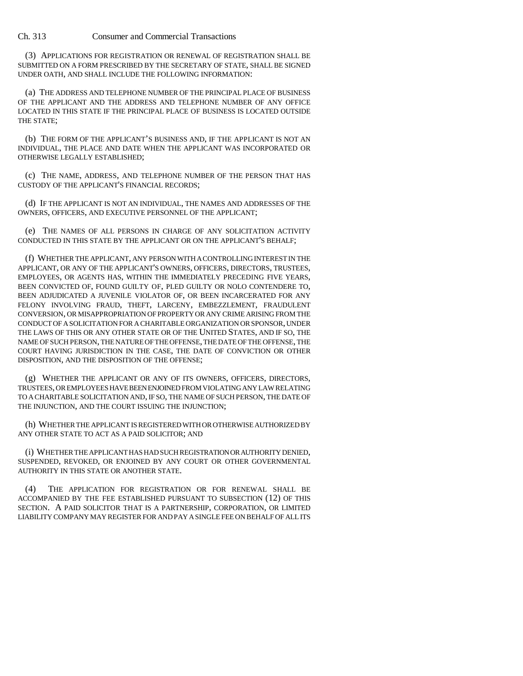(3) APPLICATIONS FOR REGISTRATION OR RENEWAL OF REGISTRATION SHALL BE SUBMITTED ON A FORM PRESCRIBED BY THE SECRETARY OF STATE, SHALL BE SIGNED UNDER OATH, AND SHALL INCLUDE THE FOLLOWING INFORMATION:

(a) THE ADDRESS AND TELEPHONE NUMBER OF THE PRINCIPAL PLACE OF BUSINESS OF THE APPLICANT AND THE ADDRESS AND TELEPHONE NUMBER OF ANY OFFICE LOCATED IN THIS STATE IF THE PRINCIPAL PLACE OF BUSINESS IS LOCATED OUTSIDE THE STATE;

(b) THE FORM OF THE APPLICANT'S BUSINESS AND, IF THE APPLICANT IS NOT AN INDIVIDUAL, THE PLACE AND DATE WHEN THE APPLICANT WAS INCORPORATED OR OTHERWISE LEGALLY ESTABLISHED;

(c) THE NAME, ADDRESS, AND TELEPHONE NUMBER OF THE PERSON THAT HAS CUSTODY OF THE APPLICANT'S FINANCIAL RECORDS;

(d) IF THE APPLICANT IS NOT AN INDIVIDUAL, THE NAMES AND ADDRESSES OF THE OWNERS, OFFICERS, AND EXECUTIVE PERSONNEL OF THE APPLICANT;

(e) THE NAMES OF ALL PERSONS IN CHARGE OF ANY SOLICITATION ACTIVITY CONDUCTED IN THIS STATE BY THE APPLICANT OR ON THE APPLICANT'S BEHALF;

(f) WHETHER THE APPLICANT, ANY PERSON WITH A CONTROLLING INTEREST IN THE APPLICANT, OR ANY OF THE APPLICANT'S OWNERS, OFFICERS, DIRECTORS, TRUSTEES, EMPLOYEES, OR AGENTS HAS, WITHIN THE IMMEDIATELY PRECEDING FIVE YEARS, BEEN CONVICTED OF, FOUND GUILTY OF, PLED GUILTY OR NOLO CONTENDERE TO, BEEN ADJUDICATED A JUVENILE VIOLATOR OF, OR BEEN INCARCERATED FOR ANY FELONY INVOLVING FRAUD, THEFT, LARCENY, EMBEZZLEMENT, FRAUDULENT CONVERSION, OR MISAPPROPRIATION OF PROPERTY OR ANY CRIME ARISING FROM THE CONDUCT OF A SOLICITATION FOR A CHARITABLE ORGANIZATION OR SPONSOR, UNDER THE LAWS OF THIS OR ANY OTHER STATE OR OF THE UNITED STATES, AND IF SO, THE NAME OF SUCH PERSON, THE NATURE OF THE OFFENSE, THE DATE OF THE OFFENSE, THE COURT HAVING JURISDICTION IN THE CASE, THE DATE OF CONVICTION OR OTHER DISPOSITION, AND THE DISPOSITION OF THE OFFENSE;

(g) WHETHER THE APPLICANT OR ANY OF ITS OWNERS, OFFICERS, DIRECTORS, TRUSTEES, OR EMPLOYEES HAVE BEEN ENJOINED FROM VIOLATING ANY LAW RELATING TO A CHARITABLE SOLICITATION AND, IF SO, THE NAME OF SUCH PERSON, THE DATE OF THE INJUNCTION, AND THE COURT ISSUING THE INJUNCTION;

(h) WHETHER THE APPLICANT IS REGISTERED WITH OR OTHERWISE AUTHORIZED BY ANY OTHER STATE TO ACT AS A PAID SOLICITOR; AND

(i) WHETHER THE APPLICANT HAS HAD SUCH REGISTRATION OR AUTHORITY DENIED, SUSPENDED, REVOKED, OR ENJOINED BY ANY COURT OR OTHER GOVERNMENTAL AUTHORITY IN THIS STATE OR ANOTHER STATE.

(4) THE APPLICATION FOR REGISTRATION OR FOR RENEWAL SHALL BE ACCOMPANIED BY THE FEE ESTABLISHED PURSUANT TO SUBSECTION (12) OF THIS SECTION. A PAID SOLICITOR THAT IS A PARTNERSHIP, CORPORATION, OR LIMITED LIABILITY COMPANY MAY REGISTER FOR AND PAY A SINGLE FEE ON BEHALF OF ALL ITS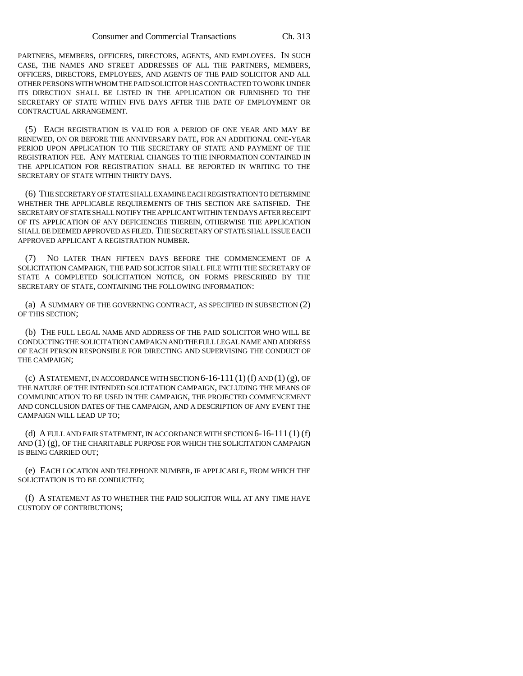PARTNERS, MEMBERS, OFFICERS, DIRECTORS, AGENTS, AND EMPLOYEES. IN SUCH CASE, THE NAMES AND STREET ADDRESSES OF ALL THE PARTNERS, MEMBERS, OFFICERS, DIRECTORS, EMPLOYEES, AND AGENTS OF THE PAID SOLICITOR AND ALL OTHER PERSONS WITH WHOM THE PAID SOLICITOR HAS CONTRACTED TO WORK UNDER ITS DIRECTION SHALL BE LISTED IN THE APPLICATION OR FURNISHED TO THE SECRETARY OF STATE WITHIN FIVE DAYS AFTER THE DATE OF EMPLOYMENT OR CONTRACTUAL ARRANGEMENT.

(5) EACH REGISTRATION IS VALID FOR A PERIOD OF ONE YEAR AND MAY BE RENEWED, ON OR BEFORE THE ANNIVERSARY DATE, FOR AN ADDITIONAL ONE-YEAR PERIOD UPON APPLICATION TO THE SECRETARY OF STATE AND PAYMENT OF THE REGISTRATION FEE. ANY MATERIAL CHANGES TO THE INFORMATION CONTAINED IN THE APPLICATION FOR REGISTRATION SHALL BE REPORTED IN WRITING TO THE SECRETARY OF STATE WITHIN THIRTY DAYS.

(6) THE SECRETARY OF STATE SHALL EXAMINE EACH REGISTRATION TO DETERMINE WHETHER THE APPLICABLE REQUIREMENTS OF THIS SECTION ARE SATISFIED. THE SECRETARY OF STATE SHALL NOTIFY THE APPLICANT WITHIN TEN DAYS AFTER RECEIPT OF ITS APPLICATION OF ANY DEFICIENCIES THEREIN, OTHERWISE THE APPLICATION SHALL BE DEEMED APPROVED AS FILED. THE SECRETARY OF STATE SHALL ISSUE EACH APPROVED APPLICANT A REGISTRATION NUMBER.

(7) NO LATER THAN FIFTEEN DAYS BEFORE THE COMMENCEMENT OF A SOLICITATION CAMPAIGN, THE PAID SOLICITOR SHALL FILE WITH THE SECRETARY OF STATE A COMPLETED SOLICITATION NOTICE, ON FORMS PRESCRIBED BY THE SECRETARY OF STATE, CONTAINING THE FOLLOWING INFORMATION:

(a) A SUMMARY OF THE GOVERNING CONTRACT, AS SPECIFIED IN SUBSECTION (2) OF THIS SECTION;

(b) THE FULL LEGAL NAME AND ADDRESS OF THE PAID SOLICITOR WHO WILL BE CONDUCTING THE SOLICITATION CAMPAIGN AND THE FULL LEGAL NAME AND ADDRESS OF EACH PERSON RESPONSIBLE FOR DIRECTING AND SUPERVISING THE CONDUCT OF THE CAMPAIGN;

(c) A STATEMENT, IN ACCORDANCE WITH SECTION  $6-16-111(1)$  (f) AND  $(1)$  (g), OF THE NATURE OF THE INTENDED SOLICITATION CAMPAIGN, INCLUDING THE MEANS OF COMMUNICATION TO BE USED IN THE CAMPAIGN, THE PROJECTED COMMENCEMENT AND CONCLUSION DATES OF THE CAMPAIGN, AND A DESCRIPTION OF ANY EVENT THE CAMPAIGN WILL LEAD UP TO;

(d) A FULL AND FAIR STATEMENT, IN ACCORDANCE WITH SECTION  $6-16-111$  (1) (f) AND (1) (g), OF THE CHARITABLE PURPOSE FOR WHICH THE SOLICITATION CAMPAIGN IS BEING CARRIED OUT;

(e) EACH LOCATION AND TELEPHONE NUMBER, IF APPLICABLE, FROM WHICH THE SOLICITATION IS TO BE CONDUCTED;

(f) A STATEMENT AS TO WHETHER THE PAID SOLICITOR WILL AT ANY TIME HAVE CUSTODY OF CONTRIBUTIONS;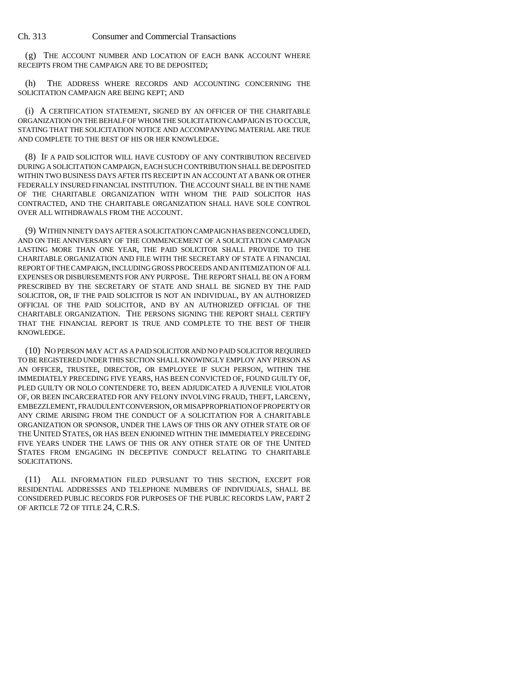(g) THE ACCOUNT NUMBER AND LOCATION OF EACH BANK ACCOUNT WHERE RECEIPTS FROM THE CAMPAIGN ARE TO BE DEPOSITED;

(h) THE ADDRESS WHERE RECORDS AND ACCOUNTING CONCERNING THE SOLICITATION CAMPAIGN ARE BEING KEPT; AND

(i) A CERTIFICATION STATEMENT, SIGNED BY AN OFFICER OF THE CHARITABLE ORGANIZATION ON THE BEHALF OF WHOM THE SOLICITATION CAMPAIGN IS TO OCCUR, STATING THAT THE SOLICITATION NOTICE AND ACCOMPANYING MATERIAL ARE TRUE AND COMPLETE TO THE BEST OF HIS OR HER KNOWLEDGE.

(8) IF A PAID SOLICITOR WILL HAVE CUSTODY OF ANY CONTRIBUTION RECEIVED DURING A SOLICITATION CAMPAIGN, EACH SUCH CONTRIBUTION SHALL BE DEPOSITED WITHIN TWO BUSINESS DAYS AFTER ITS RECEIPT IN AN ACCOUNT AT A BANK OR OTHER FEDERALLY INSURED FINANCIAL INSTITUTION. THE ACCOUNT SHALL BE IN THE NAME OF THE CHARITABLE ORGANIZATION WITH WHOM THE PAID SOLICITOR HAS CONTRACTED, AND THE CHARITABLE ORGANIZATION SHALL HAVE SOLE CONTROL OVER ALL WITHDRAWALS FROM THE ACCOUNT.

(9) WITHIN NINETY DAYS AFTER A SOLICITATION CAMPAIGN HAS BEEN CONCLUDED, AND ON THE ANNIVERSARY OF THE COMMENCEMENT OF A SOLICITATION CAMPAIGN LASTING MORE THAN ONE YEAR, THE PAID SOLICITOR SHALL PROVIDE TO THE CHARITABLE ORGANIZATION AND FILE WITH THE SECRETARY OF STATE A FINANCIAL REPORT OF THE CAMPAIGN, INCLUDING GROSS PROCEEDS AND AN ITEMIZATION OF ALL EXPENSES OR DISBURSEMENTS FOR ANY PURPOSE. THE REPORT SHALL BE ON A FORM PRESCRIBED BY THE SECRETARY OF STATE AND SHALL BE SIGNED BY THE PAID SOLICITOR, OR, IF THE PAID SOLICITOR IS NOT AN INDIVIDUAL, BY AN AUTHORIZED OFFICIAL OF THE PAID SOLICITOR, AND BY AN AUTHORIZED OFFICIAL OF THE CHARITABLE ORGANIZATION. THE PERSONS SIGNING THE REPORT SHALL CERTIFY THAT THE FINANCIAL REPORT IS TRUE AND COMPLETE TO THE BEST OF THEIR KNOWLEDGE.

(10) NO PERSON MAY ACT AS A PAID SOLICITOR AND NO PAID SOLICITOR REQUIRED TO BE REGISTERED UNDER THIS SECTION SHALL KNOWINGLY EMPLOY ANY PERSON AS AN OFFICER, TRUSTEE, DIRECTOR, OR EMPLOYEE IF SUCH PERSON, WITHIN THE IMMEDIATELY PRECEDING FIVE YEARS, HAS BEEN CONVICTED OF, FOUND GUILTY OF, PLED GUILTY OR NOLO CONTENDERE TO, BEEN ADJUDICATED A JUVENILE VIOLATOR OF, OR BEEN INCARCERATED FOR ANY FELONY INVOLVING FRAUD, THEFT, LARCENY, EMBEZZLEMENT, FRAUDULENT CONVERSION, OR MISAPPROPRIATION OF PROPERTY OR ANY CRIME ARISING FROM THE CONDUCT OF A SOLICITATION FOR A CHARITABLE ORGANIZATION OR SPONSOR, UNDER THE LAWS OF THIS OR ANY OTHER STATE OR OF THE UNITED STATES, OR HAS BEEN ENJOINED WITHIN THE IMMEDIATELY PRECEDING FIVE YEARS UNDER THE LAWS OF THIS OR ANY OTHER STATE OR OF THE UNITED STATES FROM ENGAGING IN DECEPTIVE CONDUCT RELATING TO CHARITABLE SOLICITATIONS.

(11) ALL INFORMATION FILED PURSUANT TO THIS SECTION, EXCEPT FOR RESIDENTIAL ADDRESSES AND TELEPHONE NUMBERS OF INDIVIDUALS, SHALL BE CONSIDERED PUBLIC RECORDS FOR PURPOSES OF THE PUBLIC RECORDS LAW, PART 2 OF ARTICLE 72 OF TITLE 24, C.R.S.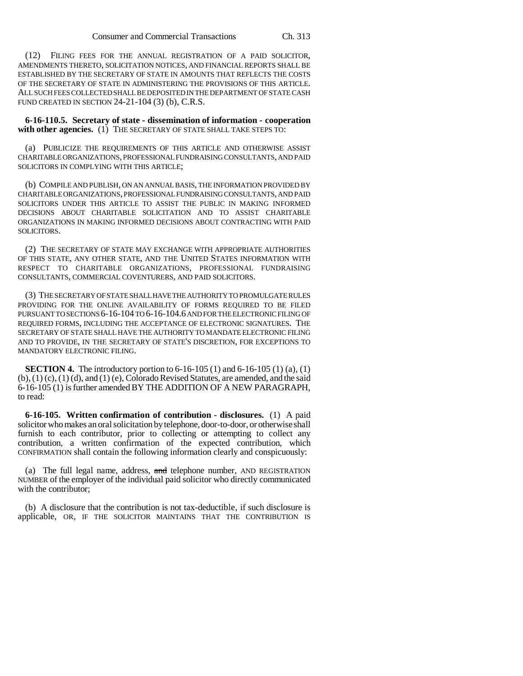(12) FILING FEES FOR THE ANNUAL REGISTRATION OF A PAID SOLICITOR, AMENDMENTS THERETO, SOLICITATION NOTICES, AND FINANCIAL REPORTS SHALL BE ESTABLISHED BY THE SECRETARY OF STATE IN AMOUNTS THAT REFLECTS THE COSTS OF THE SECRETARY OF STATE IN ADMINISTERING THE PROVISIONS OF THIS ARTICLE. ALL SUCH FEES COLLECTED SHALL BE DEPOSITED IN THE DEPARTMENT OF STATE CASH FUND CREATED IN SECTION 24-21-104 (3) (b), C.R.S.

**6-16-110.5. Secretary of state - dissemination of information - cooperation** with other agencies. (1) THE SECRETARY OF STATE SHALL TAKE STEPS TO:

(a) PUBLICIZE THE REQUIREMENTS OF THIS ARTICLE AND OTHERWISE ASSIST CHARITABLE ORGANIZATIONS, PROFESSIONAL FUNDRAISING CONSULTANTS, AND PAID SOLICITORS IN COMPLYING WITH THIS ARTICLE;

(b) COMPILE AND PUBLISH, ON AN ANNUAL BASIS, THE INFORMATION PROVIDED BY CHARITABLE ORGANIZATIONS, PROFESSIONAL FUNDRAISING CONSULTANTS, AND PAID SOLICITORS UNDER THIS ARTICLE TO ASSIST THE PUBLIC IN MAKING INFORMED DECISIONS ABOUT CHARITABLE SOLICITATION AND TO ASSIST CHARITABLE ORGANIZATIONS IN MAKING INFORMED DECISIONS ABOUT CONTRACTING WITH PAID SOLICITORS.

(2) THE SECRETARY OF STATE MAY EXCHANGE WITH APPROPRIATE AUTHORITIES OF THIS STATE, ANY OTHER STATE, AND THE UNITED STATES INFORMATION WITH RESPECT TO CHARITABLE ORGANIZATIONS, PROFESSIONAL FUNDRAISING CONSULTANTS, COMMERCIAL COVENTURERS, AND PAID SOLICITORS.

(3) THE SECRETARY OF STATE SHALL HAVE THE AUTHORITY TO PROMULGATE RULES PROVIDING FOR THE ONLINE AVAILABILITY OF FORMS REQUIRED TO BE FILED PURSUANT TO SECTIONS 6-16-104 TO 6-16-104.6 AND FOR THE ELECTRONIC FILING OF REQUIRED FORMS, INCLUDING THE ACCEPTANCE OF ELECTRONIC SIGNATURES. THE SECRETARY OF STATE SHALL HAVE THE AUTHORITY TO MANDATE ELECTRONIC FILING AND TO PROVIDE, IN THE SECRETARY OF STATE'S DISCRETION, FOR EXCEPTIONS TO MANDATORY ELECTRONIC FILING.

**SECTION 4.** The introductory portion to 6-16-105 (1) and 6-16-105 (1) (a), (1)  $(b)$ ,  $(1)$   $(c)$ ,  $(1)$   $(d)$ , and  $(1)$   $(e)$ , Colorado Revised Statutes, are amended, and the said 6-16-105 (1) is further amended BY THE ADDITION OF A NEW PARAGRAPH, to read:

**6-16-105. Written confirmation of contribution - disclosures.** (1) A paid solicitor who makes an oral solicitation by telephone, door-to-door, or otherwise shall furnish to each contributor, prior to collecting or attempting to collect any contribution, a written confirmation of the expected contribution, which CONFIRMATION shall contain the following information clearly and conspicuously:

(a) The full legal name, address, and telephone number, AND REGISTRATION NUMBER of the employer of the individual paid solicitor who directly communicated with the contributor;

(b) A disclosure that the contribution is not tax-deductible, if such disclosure is applicable, OR, IF THE SOLICITOR MAINTAINS THAT THE CONTRIBUTION IS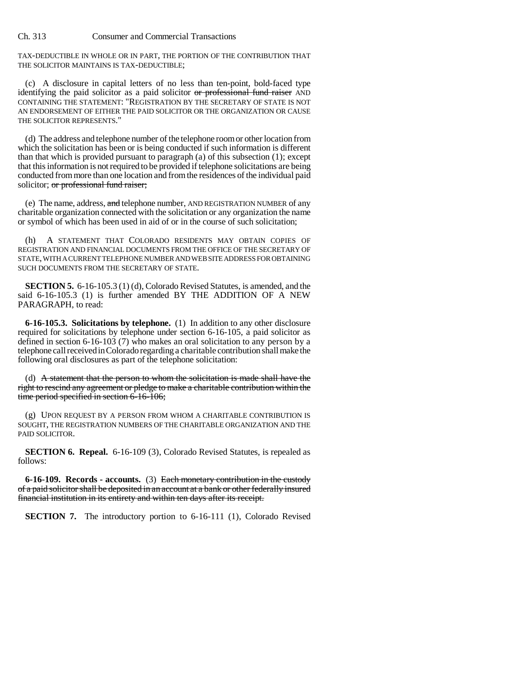TAX-DEDUCTIBLE IN WHOLE OR IN PART, THE PORTION OF THE CONTRIBUTION THAT THE SOLICITOR MAINTAINS IS TAX-DEDUCTIBLE;

(c) A disclosure in capital letters of no less than ten-point, bold-faced type identifying the paid solicitor as a paid solicitor or professional fund raiser AND CONTAINING THE STATEMENT: "REGISTRATION BY THE SECRETARY OF STATE IS NOT AN ENDORSEMENT OF EITHER THE PAID SOLICITOR OR THE ORGANIZATION OR CAUSE THE SOLICITOR REPRESENTS."

(d) The address and telephone number of the telephone room or other location from which the solicitation has been or is being conducted if such information is different than that which is provided pursuant to paragraph (a) of this subsection (1); except that this information is not required to be provided if telephone solicitations are being conducted from more than one location and from the residences of the individual paid solicitor; or professional fund raiser;

(e) The name, address, and telephone number, AND REGISTRATION NUMBER of any charitable organization connected with the solicitation or any organization the name or symbol of which has been used in aid of or in the course of such solicitation;

(h) A STATEMENT THAT COLORADO RESIDENTS MAY OBTAIN COPIES OF REGISTRATION AND FINANCIAL DOCUMENTS FROM THE OFFICE OF THE SECRETARY OF STATE, WITH A CURRENT TELEPHONE NUMBER AND WEB SITE ADDRESS FOR OBTAINING SUCH DOCUMENTS FROM THE SECRETARY OF STATE.

**SECTION 5.** 6-16-105.3 (1) (d), Colorado Revised Statutes, is amended, and the said 6-16-105.3 (1) is further amended BY THE ADDITION OF A NEW PARAGRAPH, to read:

**6-16-105.3. Solicitations by telephone.** (1) In addition to any other disclosure required for solicitations by telephone under section 6-16-105, a paid solicitor as defined in section 6-16-103 (7) who makes an oral solicitation to any person by a telephone call received in Colorado regarding a charitable contribution shall make the following oral disclosures as part of the telephone solicitation:

(d) A statement that the person to whom the solicitation is made shall have the right to rescind any agreement or pledge to make a charitable contribution within the time period specified in section 6-16-106;

(g) UPON REQUEST BY A PERSON FROM WHOM A CHARITABLE CONTRIBUTION IS SOUGHT, THE REGISTRATION NUMBERS OF THE CHARITABLE ORGANIZATION AND THE PAID SOLICITOR.

**SECTION 6. Repeal.** 6-16-109 (3), Colorado Revised Statutes, is repealed as follows:

**6-16-109. Records - accounts.** (3) Each monetary contribution in the custody of a paid solicitor shall be deposited in an account at a bank or other federally insured financial institution in its entirety and within ten days after its receipt.

**SECTION 7.** The introductory portion to 6-16-111 (1), Colorado Revised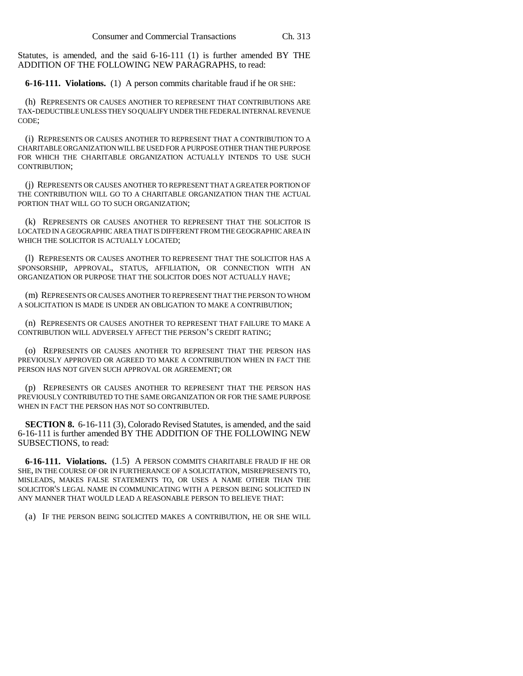Statutes, is amended, and the said 6-16-111 (1) is further amended BY THE ADDITION OF THE FOLLOWING NEW PARAGRAPHS, to read:

**6-16-111. Violations.** (1) A person commits charitable fraud if he OR SHE:

(h) REPRESENTS OR CAUSES ANOTHER TO REPRESENT THAT CONTRIBUTIONS ARE TAX-DEDUCTIBLE UNLESS THEY SO QUALIFY UNDER THE FEDERAL INTERNAL REVENUE CODE;

(i) REPRESENTS OR CAUSES ANOTHER TO REPRESENT THAT A CONTRIBUTION TO A CHARITABLE ORGANIZATION WILL BE USED FOR A PURPOSE OTHER THAN THE PURPOSE FOR WHICH THE CHARITABLE ORGANIZATION ACTUALLY INTENDS TO USE SUCH CONTRIBUTION;

(j) REPRESENTS OR CAUSES ANOTHER TO REPRESENT THAT A GREATER PORTION OF THE CONTRIBUTION WILL GO TO A CHARITABLE ORGANIZATION THAN THE ACTUAL PORTION THAT WILL GO TO SUCH ORGANIZATION;

(k) REPRESENTS OR CAUSES ANOTHER TO REPRESENT THAT THE SOLICITOR IS LOCATED IN A GEOGRAPHIC AREA THAT IS DIFFERENT FROM THE GEOGRAPHIC AREA IN WHICH THE SOLICITOR IS ACTUALLY LOCATED;

(l) REPRESENTS OR CAUSES ANOTHER TO REPRESENT THAT THE SOLICITOR HAS A SPONSORSHIP, APPROVAL, STATUS, AFFILIATION, OR CONNECTION WITH AN ORGANIZATION OR PURPOSE THAT THE SOLICITOR DOES NOT ACTUALLY HAVE;

(m) REPRESENTS OR CAUSES ANOTHER TO REPRESENT THAT THE PERSON TO WHOM A SOLICITATION IS MADE IS UNDER AN OBLIGATION TO MAKE A CONTRIBUTION;

(n) REPRESENTS OR CAUSES ANOTHER TO REPRESENT THAT FAILURE TO MAKE A CONTRIBUTION WILL ADVERSELY AFFECT THE PERSON'S CREDIT RATING;

(o) REPRESENTS OR CAUSES ANOTHER TO REPRESENT THAT THE PERSON HAS PREVIOUSLY APPROVED OR AGREED TO MAKE A CONTRIBUTION WHEN IN FACT THE PERSON HAS NOT GIVEN SUCH APPROVAL OR AGREEMENT; OR

(p) REPRESENTS OR CAUSES ANOTHER TO REPRESENT THAT THE PERSON HAS PREVIOUSLY CONTRIBUTED TO THE SAME ORGANIZATION OR FOR THE SAME PURPOSE WHEN IN FACT THE PERSON HAS NOT SO CONTRIBUTED.

**SECTION 8.** 6-16-111 (3), Colorado Revised Statutes, is amended, and the said 6-16-111 is further amended BY THE ADDITION OF THE FOLLOWING NEW SUBSECTIONS, to read:

**6-16-111. Violations.** (1.5) A PERSON COMMITS CHARITABLE FRAUD IF HE OR SHE, IN THE COURSE OF OR IN FURTHERANCE OF A SOLICITATION, MISREPRESENTS TO, MISLEADS, MAKES FALSE STATEMENTS TO, OR USES A NAME OTHER THAN THE SOLICITOR'S LEGAL NAME IN COMMUNICATING WITH A PERSON BEING SOLICITED IN ANY MANNER THAT WOULD LEAD A REASONABLE PERSON TO BELIEVE THAT:

(a) IF THE PERSON BEING SOLICITED MAKES A CONTRIBUTION, HE OR SHE WILL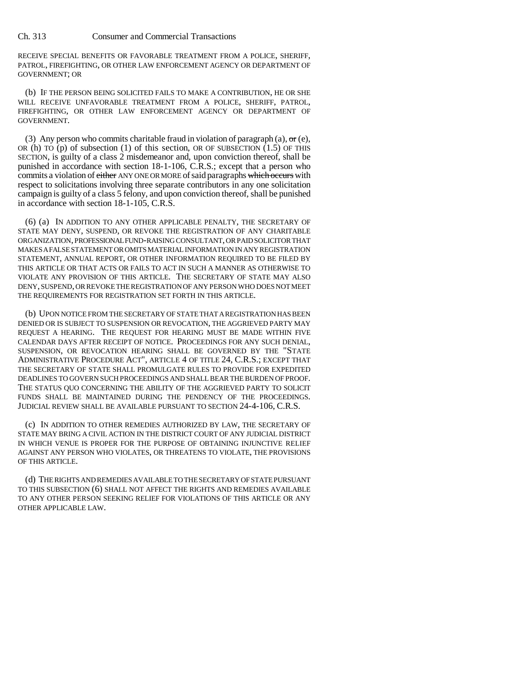RECEIVE SPECIAL BENEFITS OR FAVORABLE TREATMENT FROM A POLICE, SHERIFF, PATROL, FIREFIGHTING, OR OTHER LAW ENFORCEMENT AGENCY OR DEPARTMENT OF GOVERNMENT; OR

(b) IF THE PERSON BEING SOLICITED FAILS TO MAKE A CONTRIBUTION, HE OR SHE WILL RECEIVE UNFAVORABLE TREATMENT FROM A POLICE, SHERIFF, PATROL, FIREFIGHTING, OR OTHER LAW ENFORCEMENT AGENCY OR DEPARTMENT OF GOVERNMENT.

(3) Any person who commits charitable fraud in violation of paragraph (a),  $\Theta$  (e), OR (h) TO (p) of subsection (1) of this section, OR OF SUBSECTION  $(1.5)$  OF THIS SECTION, is guilty of a class 2 misdemeanor and, upon conviction thereof, shall be punished in accordance with section 18-1-106, C.R.S.; except that a person who commits a violation of either ANY ONE OR MORE of said paragraphs which occurs with respect to solicitations involving three separate contributors in any one solicitation campaign is guilty of a class 5 felony, and upon conviction thereof, shall be punished in accordance with section 18-1-105, C.R.S.

(6) (a) IN ADDITION TO ANY OTHER APPLICABLE PENALTY, THE SECRETARY OF STATE MAY DENY, SUSPEND, OR REVOKE THE REGISTRATION OF ANY CHARITABLE ORGANIZATION, PROFESSIONAL FUND-RAISING CONSULTANT, OR PAID SOLICITOR THAT MAKES A FALSE STATEMENT OR OMITS MATERIAL INFORMATION IN ANY REGISTRATION STATEMENT, ANNUAL REPORT, OR OTHER INFORMATION REQUIRED TO BE FILED BY THIS ARTICLE OR THAT ACTS OR FAILS TO ACT IN SUCH A MANNER AS OTHERWISE TO VIOLATE ANY PROVISION OF THIS ARTICLE. THE SECRETARY OF STATE MAY ALSO DENY, SUSPEND, OR REVOKE THE REGISTRATION OF ANY PERSON WHO DOES NOT MEET THE REQUIREMENTS FOR REGISTRATION SET FORTH IN THIS ARTICLE.

(b) UPON NOTICE FROM THE SECRETARY OF STATE THAT A REGISTRATION HAS BEEN DENIED OR IS SUBJECT TO SUSPENSION OR REVOCATION, THE AGGRIEVED PARTY MAY REQUEST A HEARING. THE REQUEST FOR HEARING MUST BE MADE WITHIN FIVE CALENDAR DAYS AFTER RECEIPT OF NOTICE. PROCEEDINGS FOR ANY SUCH DENIAL, SUSPENSION, OR REVOCATION HEARING SHALL BE GOVERNED BY THE "STATE ADMINISTRATIVE PROCEDURE ACT", ARTICLE 4 OF TITLE 24, C.R.S.; EXCEPT THAT THE SECRETARY OF STATE SHALL PROMULGATE RULES TO PROVIDE FOR EXPEDITED DEADLINES TO GOVERN SUCH PROCEEDINGS AND SHALL BEAR THE BURDEN OF PROOF. THE STATUS QUO CONCERNING THE ABILITY OF THE AGGRIEVED PARTY TO SOLICIT FUNDS SHALL BE MAINTAINED DURING THE PENDENCY OF THE PROCEEDINGS. JUDICIAL REVIEW SHALL BE AVAILABLE PURSUANT TO SECTION 24-4-106, C.R.S.

(c) IN ADDITION TO OTHER REMEDIES AUTHORIZED BY LAW, THE SECRETARY OF STATE MAY BRING A CIVIL ACTION IN THE DISTRICT COURT OF ANY JUDICIAL DISTRICT IN WHICH VENUE IS PROPER FOR THE PURPOSE OF OBTAINING INJUNCTIVE RELIEF AGAINST ANY PERSON WHO VIOLATES, OR THREATENS TO VIOLATE, THE PROVISIONS OF THIS ARTICLE.

(d) THE RIGHTS AND REMEDIES AVAILABLE TO THE SECRETARY OF STATE PURSUANT TO THIS SUBSECTION (6) SHALL NOT AFFECT THE RIGHTS AND REMEDIES AVAILABLE TO ANY OTHER PERSON SEEKING RELIEF FOR VIOLATIONS OF THIS ARTICLE OR ANY OTHER APPLICABLE LAW.